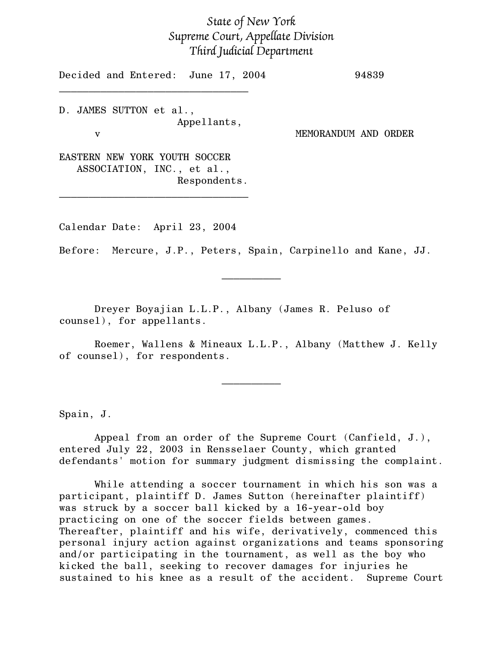## State of New York Supreme Court, Appellate Division Third Judicial Department

Decided and Entered: June 17, 2004 94839  $\mathcal{L}=\{1,2,3,4,5\}$ 

D. JAMES SUTTON et al., Appellants,

v MEMORANDUM AND ORDER

EASTERN NEW YORK YOUTH SOCCER ASSOCIATION, INC., et al., Respondents.

 $\mathcal{L}_\text{max}$ 

Calendar Date: April 23, 2004

Before: Mercure, J.P., Peters, Spain, Carpinello and Kane, JJ.

 $\frac{1}{2}$ 

Dreyer Boyajian L.L.P., Albany (James R. Peluso of counsel), for appellants.

Roemer, Wallens & Mineaux L.L.P., Albany (Matthew J. Kelly of counsel), for respondents.

 $\frac{1}{2}$ 

Spain, J.

Appeal from an order of the Supreme Court (Canfield, J.), entered July 22, 2003 in Rensselaer County, which granted defendants' motion for summary judgment dismissing the complaint.

While attending a soccer tournament in which his son was a participant, plaintiff D. James Sutton (hereinafter plaintiff) was struck by a soccer ball kicked by a 16-year-old boy practicing on one of the soccer fields between games. Thereafter, plaintiff and his wife, derivatively, commenced this personal injury action against organizations and teams sponsoring and/or participating in the tournament, as well as the boy who kicked the ball, seeking to recover damages for injuries he sustained to his knee as a result of the accident. Supreme Court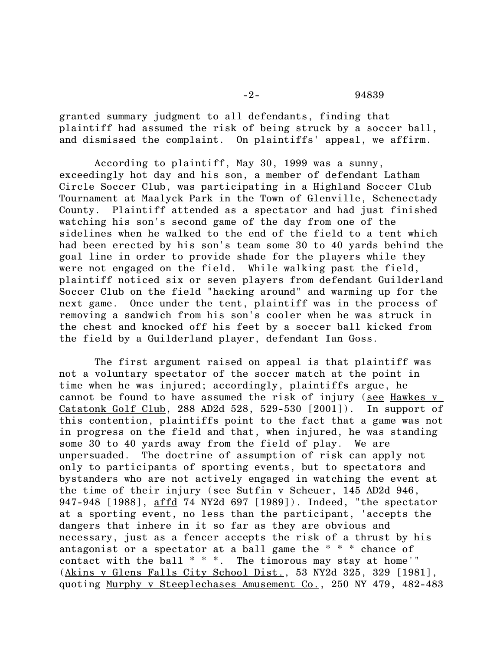-2- 94839

granted summary judgment to all defendants, finding that plaintiff had assumed the risk of being struck by a soccer ball, and dismissed the complaint. On plaintiffs' appeal, we affirm.

According to plaintiff, May 30, 1999 was a sunny, exceedingly hot day and his son, a member of defendant Latham Circle Soccer Club, was participating in a Highland Soccer Club Tournament at Maalyck Park in the Town of Glenville, Schenectady County. Plaintiff attended as a spectator and had just finished watching his son's second game of the day from one of the sidelines when he walked to the end of the field to a tent which had been erected by his son's team some 30 to 40 yards behind the goal line in order to provide shade for the players while they were not engaged on the field. While walking past the field, plaintiff noticed six or seven players from defendant Guilderland Soccer Club on the field "hacking around" and warming up for the next game. Once under the tent, plaintiff was in the process of removing a sandwich from his son's cooler when he was struck in the chest and knocked off his feet by a soccer ball kicked from the field by a Guilderland player, defendant Ian Goss.

The first argument raised on appeal is that plaintiff was not a voluntary spectator of the soccer match at the point in time when he was injured; accordingly, plaintiffs argue, he cannot be found to have assumed the risk of injury (see Hawkes v Catatonk Golf Club, 288 AD2d  $528$ ,  $529-530$   $(2001)$ . In support of this contention, plaintiffs point to the fact that a game was not in progress on the field and that, when injured, he was standing some 30 to 40 yards away from the field of play. We are unpersuaded. The doctrine of assumption of risk can apply not only to participants of sporting events, but to spectators and bystanders who are not actively engaged in watching the event at the time of their injury (see Sutfin v Scheuer, 145 AD2d 946, 947-948 [1988], affd 74 NY2d 697 [1989]). Indeed, "the spectator at a sporting event, no less than the participant, 'accepts the dangers that inhere in it so far as they are obvious and necessary, just as a fencer accepts the risk of a thrust by his antagonist or a spectator at a ball game the \* \* \* chance of contact with the ball \* \* \*. The timorous may stay at home'" (Akins v Glens Falls City School Dist., 53 NY2d 325, 329 [1981], quoting Murphy v Steeplechases Amusement Co., 250 NY 479, 482-483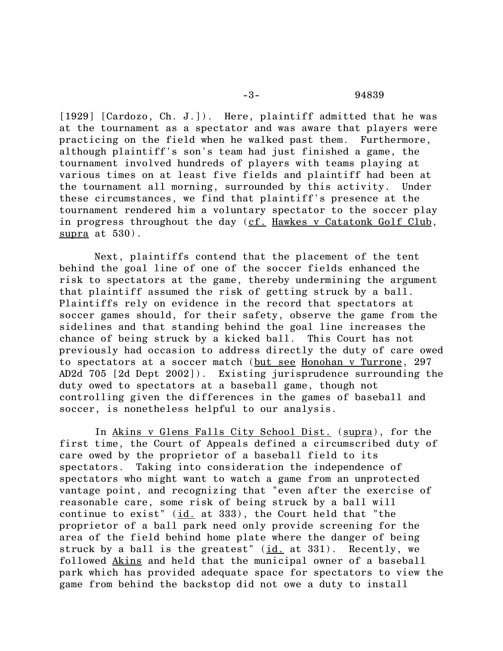[1929] [Cardozo, Ch. J.]). Here, plaintiff admitted that he was at the tournament as a spectator and was aware that players were practicing on the field when he walked past them. Furthermore, although plaintiff's son's team had just finished a game, the tournament involved hundreds of players with teams playing at various times on at least five fields and plaintiff had been at the tournament all morning, surrounded by this activity. Under these circumstances, we find that plaintiff's presence at the tournament rendered him a voluntary spectator to the soccer play in progress throughout the day (cf. Hawkes v Catatonk Golf Club, supra at 530).

Next, plaintiffs contend that the placement of the tent behind the goal line of one of the soccer fields enhanced the risk to spectators at the game, thereby undermining the argument that plaintiff assumed the risk of getting struck by a ball. Plaintiffs rely on evidence in the record that spectators at soccer games should, for their safety, observe the game from the sidelines and that standing behind the goal line increases the chance of being struck by a kicked ball. This Court has not previously had occasion to address directly the duty of care owed to spectators at a soccer match (but see Honohan v Turrone, 297 AD2d 705 [2d Dept 2002]). Existing jurisprudence surrounding the duty owed to spectators at a baseball game, though not controlling given the differences in the games of baseball and soccer, is nonetheless helpful to our analysis.

In Akins v Glens Falls City School Dist. (supra), for the first time, the Court of Appeals defined a circumscribed duty of care owed by the proprietor of a baseball field to its spectators. Taking into consideration the independence of spectators who might want to watch a game from an unprotected vantage point, and recognizing that "even after the exercise of reasonable care, some risk of being struck by a ball will continue to exist"  $(id.$  at 333), the Court held that "the proprietor of a ball park need only provide screening for the area of the field behind home plate where the danger of being struck by a ball is the greatest" (id. at 331). Recently, we followed Akins and held that the municipal owner of a baseball park which has provided adequate space for spectators to view the game from behind the backstop did not owe a duty to install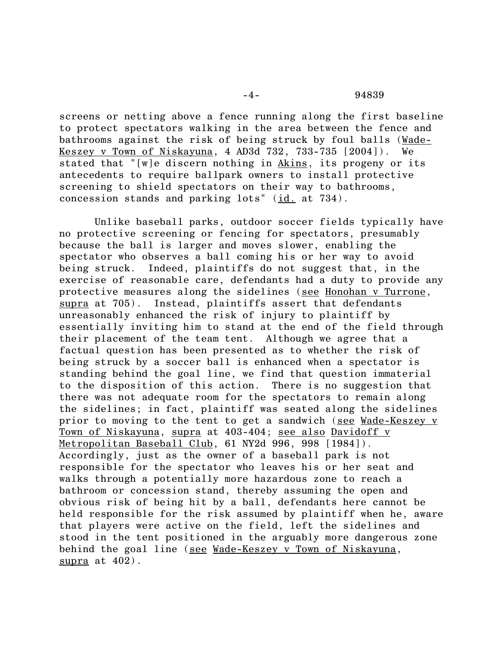-4- 94839

screens or netting above a fence running along the first baseline to protect spectators walking in the area between the fence and bathrooms against the risk of being struck by foul balls (Wade-Keszey v Town of Niskayuna, 4 AD3d 732, 733-735 [2004]). We stated that "[w]e discern nothing in Akins, its progeny or its antecedents to require ballpark owners to install protective screening to shield spectators on their way to bathrooms, concession stands and parking lots" (id. at 734).

Unlike baseball parks, outdoor soccer fields typically have no protective screening or fencing for spectators, presumably because the ball is larger and moves slower, enabling the spectator who observes a ball coming his or her way to avoid being struck. Indeed, plaintiffs do not suggest that, in the exercise of reasonable care, defendants had a duty to provide any protective measures along the sidelines (see Honohan v Turrone, supra at 705). Instead, plaintiffs assert that defendants unreasonably enhanced the risk of injury to plaintiff by essentially inviting him to stand at the end of the field through their placement of the team tent. Although we agree that a factual question has been presented as to whether the risk of being struck by a soccer ball is enhanced when a spectator is standing behind the goal line, we find that question immaterial to the disposition of this action. There is no suggestion that there was not adequate room for the spectators to remain along the sidelines; in fact, plaintiff was seated along the sidelines prior to moving to the tent to get a sandwich (see Wade-Keszey v Town of Niskayuna, supra at 403-404; see also Davidoff v Metropolitan Baseball Club, 61 NY2d 996, 998 [1984]). Accordingly, just as the owner of a baseball park is not responsible for the spectator who leaves his or her seat and walks through a potentially more hazardous zone to reach a bathroom or concession stand, thereby assuming the open and obvious risk of being hit by a ball, defendants here cannot be held responsible for the risk assumed by plaintiff when he, aware that players were active on the field, left the sidelines and stood in the tent positioned in the arguably more dangerous zone behind the goal line (see Wade-Keszey v Town of Niskayuna, supra at 402).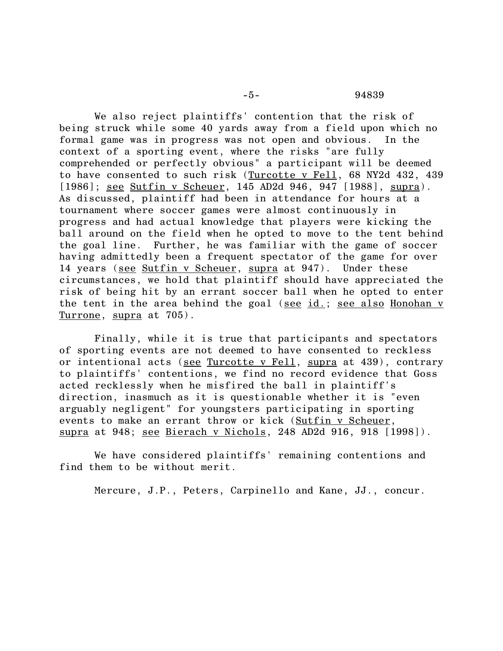We also reject plaintiffs' contention that the risk of being struck while some 40 yards away from a field upon which no formal game was in progress was not open and obvious. In the context of a sporting event, where the risks "are fully comprehended or perfectly obvious" a participant will be deemed to have consented to such risk (Turcotte v Fell, 68 NY2d 432, 439 [1986]; <u>see Sutfin v Scheuer,</u> 145 AD2d 946, 947 [1988], supra). As discussed, plaintiff had been in attendance for hours at a tournament where soccer games were almost continuously in progress and had actual knowledge that players were kicking the ball around on the field when he opted to move to the tent behind the goal line. Further, he was familiar with the game of soccer having admittedly been a frequent spectator of the game for over 14 years (see Sutfin v Scheuer, supra at 947). Under these circumstances, we hold that plaintiff should have appreciated the risk of being hit by an errant soccer ball when he opted to enter the tent in the area behind the goal (see id.; see also Honohan v Turrone, supra at 705).

Finally, while it is true that participants and spectators of sporting events are not deemed to have consented to reckless or intentional acts (see Turcotte v Fell, supra at 439), contrary to plaintiffs' contentions, we find no record evidence that Goss acted recklessly when he misfired the ball in plaintiff's direction, inasmuch as it is questionable whether it is "even arguably negligent" for youngsters participating in sporting events to make an errant throw or kick (Sutfin v Scheuer, supra at 948; see Bierach v Nichols, 248 AD2d 916, 918 [1998]).

We have considered plaintiffs' remaining contentions and find them to be without merit.

Mercure, J.P., Peters, Carpinello and Kane, JJ., concur.